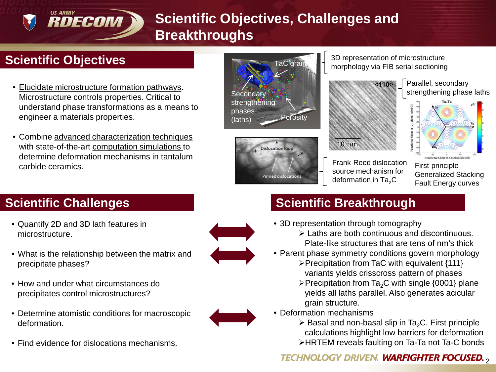# **Scientific Objectives, Challenges and Breakthroughs**

## **Scientific Objectives**

**US ARMY** 

RDECOM

- *Technical Objectives*  Microstructure controls properties. Critical to • Elucidate microstructure formation pathways. understand phase transformations as a means to engineer a materials properties.
- Combine advanced characterization techniques with state-of-the-art computation simulations to determine deformation mechanisms in tantalum carbide ceramics.





3D representation of microstructure morphology via FIB serial sectioning



Parallel, secondary strengthening phase laths



Frank-Reed dislocation source mechanism for deformation in  $Ta<sub>2</sub>C$ 

First-principle Generalized Stacking Fault Energy curves

- Quantify 2D and 3D lath features in microstructure.
- What is the relationship between the matrix and precipitate phases?
- How and under what circumstances do precipitates control microstructures?
- Determine atomistic conditions for macroscopic deformation.
- Find evidence for dislocations mechanisms.



- 3D representation through tomography
	- Laths are both continuous and discontinuous. Plate-like structures that are tens of nm's thick
- Parent phase symmetry conditions govern morphology Precipitation from TaC with equivalent {111}
	- variants yields crisscross pattern of phases
	- $\triangleright$  Precipitation from Ta<sub>2</sub>C with single {0001} plane yields all laths parallel. Also generates acicular grain structure.
- Deformation mechanisms
	- $\triangleright$  Basal and non-basal slip in Ta<sub>2</sub>C. First principle calculations highlight low barriers for deformation
	- HRTEM reveals faulting on Ta-Ta not Ta-C bonds

### **TECHNOLOGY DRIVEN. WARFIGHTER FOCUSED.,**



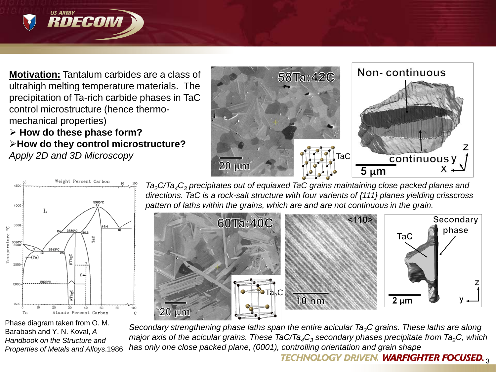

RDECOM

 **How do these phase form? How do they control microstructure?**  *Apply 2D and 3D Microscopy*



Phase diagram taken from O. M. Barabash and Y. N. Koval, *A Handbook on the Structure and Properties of Metals and Alloys*.1986

*Ta2C/Ta4C3 precipitates out of equiaxed TaC grains maintaining close packed planes and directions. TaC is a rock-salt structure with four varients of {111} planes yielding crisscross pattern of laths within the grains, which are and are not continuous in the grain.*

 $20 \mu m$ 

58Ta:42C

TaC

 $5 \mu m$ 



*Secondary strengthening phase laths span the entire acicular Ta2C grains. These laths are along major axis of the acicular grains. These TaC/Ta<sub>4</sub>C<sub>3</sub> secondary phases precipitate from Ta<sub>2</sub>C, which has only one close packed plane, (0001), controlling orientation and grain shape* 

#### **TECHNOLOGY DRIVEN. WARFIGHTER FOCUSED.,**

Non-continuous

continuous y

7